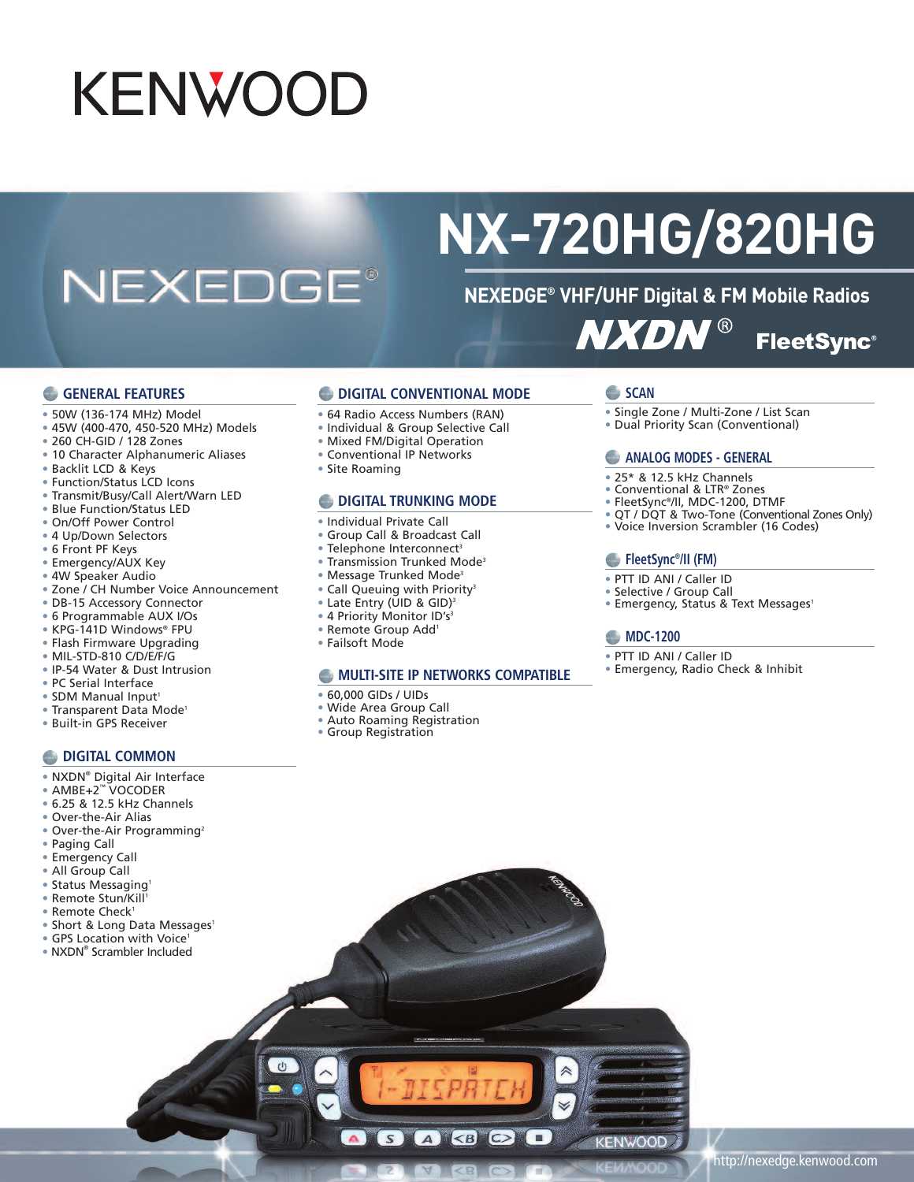# **KENWOOD**

## **NEXEDGE®**

## **NX-720HG/820HG**

### **NEXEDGE® VHF/UHF Digital & FM Mobile Radios NXDN® FleetSync®**

#### **GENERAL FEATURES**

- 50W (136-174 MHz) Model
- 45W (400-470, 450-520 MHz) Models
- 260 CH-GID / 128 Zones
- 10 Character Alphanumeric Aliases
- Backlit LCD & Keys
- Function/Status LCD Icons
- Transmit/Busy/Call Alert/Warn LED
- Blue Function/Status LED
- On/Off Power Control
- 4 Up/Down Selectors
- 6 Front PF Keys
- Emergency/AUX Key
- 4W Speaker Audio
- Zone / CH Number Voice Announcement
- DB-15 Accessory Connector
- 6 Programmable AUX I/Os
- KPG-141D Windows® FPU
- Flash Firmware Upgrading
- MIL-STD-810 C/D/E/F/G
- IP-54 Water & Dust Intrusion
- PC Serial Interface
- SDM Manual Input<sup>1</sup>
- Transparent Data Mode<sup>1</sup>
- Built-in GPS Receiver
- 

#### **DIGITAL COMMON**

- NXDN® Digital Air Interface
- AMBE+2™ VOCODER
- 6.25 & 12.5 kHz Channels
- Over-the-Air Alias
- Over-the-Air Programming<sup>2</sup>
- Paging Call
- Emergency Call
- All Group Call
- Status Messaging<sup>1</sup>
- Remote Stun/Kill 1
- Remote Check<sup>1</sup>
- Short & Long Data Messages<sup>1</sup>
- GPS Location with Voice<sup>1</sup>
- NXDN® Scrambler Included
- **DIGITAL CONVENTIONAL MODE**
- 64 Radio Access Numbers (RAN)
- Individual & Group Selective Call
- Mixed FM/Digital Operation
- Conventional IP Networks
- Site Roaming

#### **DIGITAL TRUNKING MODE**

- Individual Private Call
- Group Call & Broadcast Call
- Telephone Interconnect<sup>3</sup>
- Transmission Trunked Mode3
- Message Trunked Mode3
- Call Queuing with Priority<sup>3</sup>
- Late Entry (UID & GID) 3
- 4 Priority Monitor ID's<sup>3</sup>
- Remote Group Add1
- Failsoft Mode

#### **MULTI-SITE IP NETWORKS COMPATIBLE**

A BOO

- 60,000 GIDs / UIDs
- Wide Area Group Call
- Auto Roaming Registration

 $S$ 

• Group Registration

#### **SCAN**

- Single Zone / Multi-Zone / List Scan
- Dual Priority Scan (Conventional)

#### **ANALOG MODES - GENERAL**

- 25\* & 12.5 kHz Channels
- Conventional & LTR® Zones
- FleetSync®/II, MDC-1200, DTMF
- QT / DQT & Two-Tone (Conventional Zones Only)
- Voice Inversion Scrambler (16 Codes)

#### **FleetSync®/II (FM)**

- PTT ID ANI / Caller ID
- Selective / Group Call
- Emergency, Status & Text Messages<sup>1</sup>

#### **MDC-1200**

KENWOOD

- PTT ID ANI / Caller ID
- Emergency, Radio Check & Inhibit